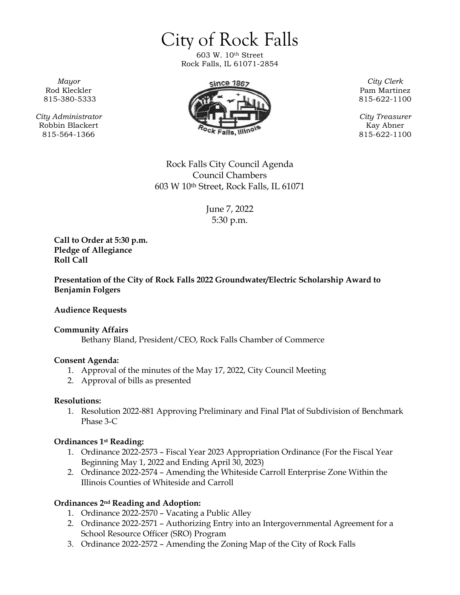City of Rock Falls 603 W. 10th Street Rock Falls, IL 61071-2854

*Mayor* Rod Kleckler 815-380-5333

*City Administrator* Robbin Blackert 815-564-1366



Pam Martinez 815-622-1100

*City Treasurer* Kay Abner 815-622-1100

Rock Falls City Council Agenda Council Chambers 603 W 10th Street, Rock Falls, IL 61071

> June 7, 2022 5:30 p.m.

**Call to Order at 5:30 p.m. Pledge of Allegiance Roll Call**

**Presentation of the City of Rock Falls 2022 Groundwater/Electric Scholarship Award to Benjamin Folgers**

**Audience Requests**

**Community Affairs** Bethany Bland, President/CEO, Rock Falls Chamber of Commerce

#### **Consent Agenda:**

- 1. Approval of the minutes of the May 17, 2022, City Council Meeting
- 2. Approval of bills as presented

#### **Resolutions:**

1. Resolution 2022-881 Approving Preliminary and Final Plat of Subdivision of Benchmark Phase 3-C

#### **Ordinances 1st Reading:**

- 1. Ordinance 2022-2573 Fiscal Year 2023 Appropriation Ordinance (For the Fiscal Year Beginning May 1, 2022 and Ending April 30, 2023)
- 2. Ordinance 2022-2574 Amending the Whiteside Carroll Enterprise Zone Within the Illinois Counties of Whiteside and Carroll

## **Ordinances 2nd Reading and Adoption:**

- 1. Ordinance 2022-2570 Vacating a Public Alley
- 2. Ordinance 2022-2571 Authorizing Entry into an Intergovernmental Agreement for a School Resource Officer (SRO) Program
- 3. Ordinance 2022-2572 Amending the Zoning Map of the City of Rock Falls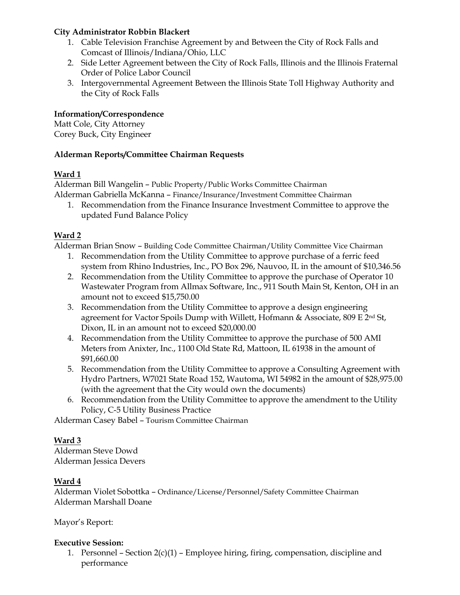#### **City Administrator Robbin Blackert**

- 1. Cable Television Franchise Agreement by and Between the City of Rock Falls and Comcast of Illinois/Indiana/Ohio, LLC
- 2. Side Letter Agreement between the City of Rock Falls, Illinois and the Illinois Fraternal Order of Police Labor Council
- 3. Intergovernmental Agreement Between the Illinois State Toll Highway Authority and the City of Rock Falls

## **Information/Correspondence**

Matt Cole, City Attorney Corey Buck, City Engineer

#### **Alderman Reports/Committee Chairman Requests**

## **Ward 1**

Alderman Bill Wangelin – Public Property/Public Works Committee Chairman Alderman Gabriella McKanna – Finance/Insurance/Investment Committee Chairman

1. Recommendation from the Finance Insurance Investment Committee to approve the updated Fund Balance Policy

# **Ward 2**

Alderman Brian Snow – Building Code Committee Chairman/Utility Committee Vice Chairman

- 1. Recommendation from the Utility Committee to approve purchase of a ferric feed system from Rhino Industries, Inc., PO Box 296, Nauvoo, IL in the amount of \$10,346.56
- 2. Recommendation from the Utility Committee to approve the purchase of Operator 10 Wastewater Program from Allmax Software, Inc., 911 South Main St, Kenton, OH in an amount not to exceed \$15,750.00
- 3. Recommendation from the Utility Committee to approve a design engineering agreement for Vactor Spoils Dump with Willett, Hofmann & Associate, 809 E 2<sup>nd</sup> St, Dixon, IL in an amount not to exceed \$20,000.00
- 4. Recommendation from the Utility Committee to approve the purchase of 500 AMI Meters from Anixter, Inc., 1100 Old State Rd, Mattoon, IL 61938 in the amount of \$91,660.00
- 5. Recommendation from the Utility Committee to approve a Consulting Agreement with Hydro Partners, W7021 State Road 152, Wautoma, WI 54982 in the amount of \$28,975.00 (with the agreement that the City would own the documents)
- 6. Recommendation from the Utility Committee to approve the amendment to the Utility Policy, C-5 Utility Business Practice

Alderman Casey Babel – Tourism Committee Chairman

## **Ward 3**

Alderman Steve Dowd Alderman Jessica Devers

## **Ward 4**

Alderman Violet Sobottka – Ordinance/License/Personnel/Safety Committee Chairman Alderman Marshall Doane

Mayor's Report:

#### **Executive Session:**

1. Personnel – Section  $2(c)(1)$  – Employee hiring, firing, compensation, discipline and performance